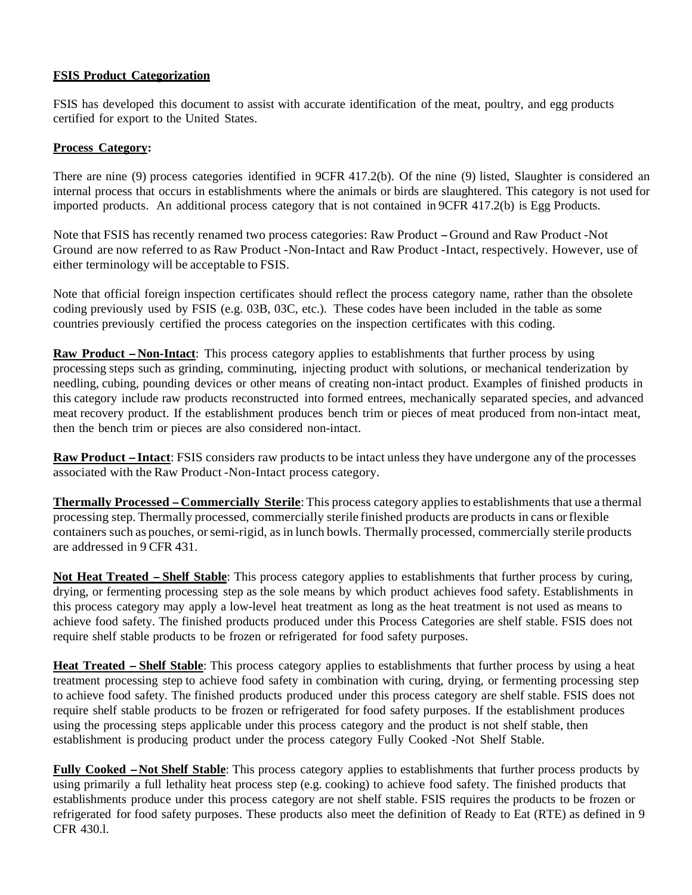#### **FSIS Product Categorization**

FSIS has developed this document to assist with accurate identification of the meat, poultry, and egg products certified for export to the United States.

#### **Process Category:**

There are nine (9) process categories identified in 9CFR 417.2(b). Of the nine (9) listed, Slaughter is considered an internal process that occurs in establishments where the animals or birds are slaughtered. This category is not used for imported products. An additional process category that is not contained in 9CFR 417.2(b) is Egg Products.

Note that FSIS has recently renamed two process categories: Raw Product -Ground and Raw Product -Not Ground are now referred to as Raw Product -Non-Intact and Raw Product -Intact, respectively. However, use of either terminology will be acceptable to FSIS.

Note that official foreign inspection certificates should reflect the process category name, rather than the obsolete coding previously used by FSIS (e.g. 03B, 03C, etc.). These codes have been included in the table as some countries previously certified the process categories on the inspection certificates with this coding.

**Raw Product -Non-Intact:** This process category applies to establishments that further process by using processing steps such as grinding, comminuting, injecting product with solutions, or mechanical tenderization by needling, cubing, pounding devices or other means of creating non-intact product. Examples of finished products in this category include raw products reconstructed into formed entrees, mechanically separated species, and advanced meat recovery product. If the establishment produces bench trim or pieces of meat produced from non-intact meat, then the bench trim or pieces are also considered non-intact.

**Raw Product -Intact**: FSIS considers raw products to be intact unless they have undergone any of the processes associated with the Raw Product -Non-Intact process category.

**Thermally Processed -Commercially Sterile**: This process category applies to establishments that use a thermal processing step. Thermally processed, commercially sterile finished products are products in cans or flexible containers such as pouches, or semi-rigid, as in lunch bowls. Thermally processed, commercially sterile products are addressed in 9 CFR 431.

**Not Heat Treated -Shelf Stable**: This process category applies to establishments that further process by curing, drying, or fermenting processing step as the sole means by which product achieves food safety. Establishments in this process category may apply a low-level heat treatment as long as the heat treatment is not used as means to achieve food safety. The finished products produced under this Process Categories are shelf stable. FSIS does not require shelf stable products to be frozen or refrigerated for food safety purposes.

**Heat Treated -Shelf Stable**: This process category applies to establishments that further process by using a heat treatment processing step to achieve food safety in combination with curing, drying, or fermenting processing step to achieve food safety. The finished products produced under this process category are shelf stable. FSIS does not require shelf stable products to be frozen or refrigerated for food safety purposes. If the establishment produces using the processing steps applicable under this process category and the product is not shelf stable, then establishment is producing product under the process category Fully Cooked -Not Shelf Stable.

**Fully Cooked -Not Shelf Stable**: This process category applies to establishments that further process products by using primarily a full lethality heat process step (e.g. cooking) to achieve food safety. The finished products that establishments produce under this process category are not shelf stable. FSIS requires the products to be frozen or refrigerated for food safety purposes. These products also meet the definition of Ready to Eat (RTE) as defined in 9 CFR 430.l.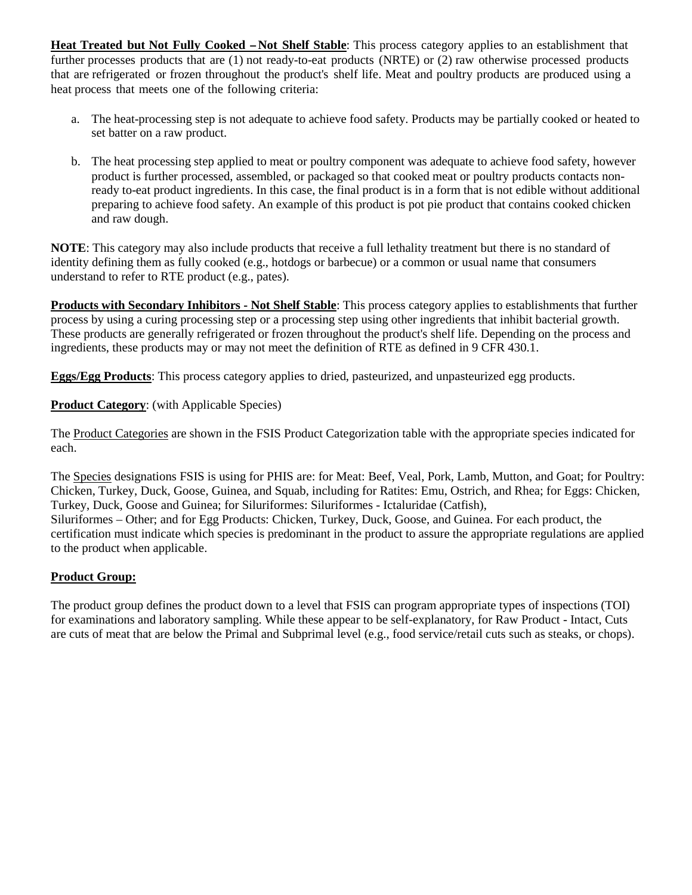**Heat Treated but Not Fully Cooked -Not Shelf Stable**: This process category applies to an establishment that further processes products that are (1) not ready-to-eat products (NRTE) or (2) raw otherwise processed products that are refrigerated or frozen throughout the product's shelf life. Meat and poultry products are produced using a heat process that meets one of the following criteria:

- a. The heat-processing step is not adequate to achieve food safety. Products may be partially cooked or heated to set batter on a raw product.
- b. The heat processing step applied to meat or poultry component was adequate to achieve food safety, however product is further processed, assembled, or packaged so that cooked meat or poultry products contacts nonready to-eat product ingredients. In this case, the final product is in a form that is not edible without additional preparing to achieve food safety. An example of this product is pot pie product that contains cooked chicken and raw dough.

**NOTE**: This category may also include products that receive a full lethality treatment but there is no standard of identity defining them as fully cooked (e.g., hotdogs or barbecue) or a common or usual name that consumers understand to refer to RTE product (e.g., pates).

**Products with Secondary Inhibitors - Not Shelf Stable**: This process category applies to establishments that further process by using a curing processing step or a processing step using other ingredients that inhibit bacterial growth. These products are generally refrigerated or frozen throughout the product's shelf life. Depending on the process and ingredients, these products may or may not meet the definition of RTE as defined in 9 CFR 430.1.

**Eggs/Egg Products**: This process category applies to dried, pasteurized, and unpasteurized egg products.

**Product Category**: (with Applicable Species)

The Product Categories are shown in the FSIS Product Categorization table with the appropriate species indicated for each.

The Species designations FSIS is using for PHIS are: for Meat: Beef, Veal, Pork, Lamb, Mutton, and Goat; for Poultry: Chicken, Turkey, Duck, Goose, Guinea, and Squab, including for Ratites: Emu, Ostrich, and Rhea; for Eggs: Chicken, Turkey, Duck, Goose and Guinea; for Siluriformes: Siluriformes - Ictaluridae (Catfish), Siluriformes – Other; and for Egg Products: Chicken, Turkey, Duck, Goose, and Guinea. For each product, the certification must indicate which species is predominant in the product to assure the appropriate regulations are applied to the product when applicable.

#### **Product Group:**

The product group defines the product down to a level that FSIS can program appropriate types of inspections (TOI) for examinations and laboratory sampling. While these appear to be self-explanatory, for Raw Product - Intact, Cuts are cuts of meat that are below the Primal and Subprimal level (e.g., food service/retail cuts such as steaks, or chops).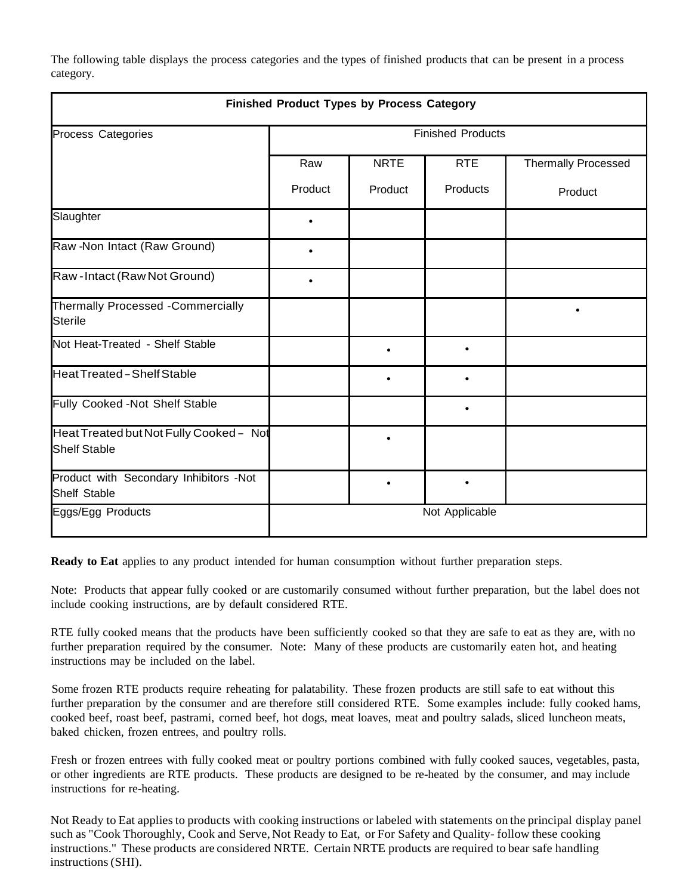The following table displays the process categories and the types of finished products that can be present in a process category.

| <b>Finished Product Types by Process Category</b>              |                          |             |            |                            |
|----------------------------------------------------------------|--------------------------|-------------|------------|----------------------------|
| Process Categories                                             | <b>Finished Products</b> |             |            |                            |
|                                                                | Raw                      | <b>NRTE</b> | <b>RTE</b> | <b>Thermally Processed</b> |
|                                                                | Product                  | Product     | Products   | Product                    |
| Slaughter                                                      |                          |             |            |                            |
| Raw -Non Intact (Raw Ground)                                   |                          |             |            |                            |
| Raw-Intact (Raw Not Ground)                                    |                          |             |            |                            |
| Thermally Processed -Commercially<br>Sterile                   |                          |             |            |                            |
| Not Heat-Treated - Shelf Stable                                |                          |             |            |                            |
| Heat Treated - Shelf Stable                                    |                          |             |            |                            |
| Fully Cooked -Not Shelf Stable                                 |                          |             |            |                            |
| Heat Treated but Not Fully Cooked - Not<br><b>Shelf Stable</b> |                          | $\bullet$   |            |                            |
| Product with Secondary Inhibitors -Not<br><b>Shelf Stable</b>  |                          |             |            |                            |
| Eggs/Egg Products                                              | Not Applicable           |             |            |                            |

**Ready to Eat** applies to any product intended for human consumption without further preparation steps.

Note: Products that appear fully cooked or are customarily consumed without further preparation, but the label does not include cooking instructions, are by default considered RTE.

RTE fully cooked means that the products have been sufficiently cooked so that they are safe to eat as they are, with no further preparation required by the consumer. Note: Many of these products are customarily eaten hot, and heating instructions may be included on the label.

Some frozen RTE products require reheating for palatability. These frozen products are still safe to eat without this further preparation by the consumer and are therefore still considered RTE. Some examples include: fully cooked hams, cooked beef, roast beef, pastrami, corned beef, hot dogs, meat loaves, meat and poultry salads, sliced luncheon meats, baked chicken, frozen entrees, and poultry rolls.

Fresh or frozen entrees with fully cooked meat or poultry portions combined with fully cooked sauces, vegetables, pasta, or other ingredients are RTE products. These products are designed to be re-heated by the consumer, and may include instructions for re-heating.

Not Ready to Eat applies to products with cooking instructions or labeled with statements on the principal display panel such as "Cook Thoroughly, Cook and Serve, Not Ready to Eat, or For Safety and Quality- follow these cooking instructions." These products are considered NRTE. Certain NRTE products are required to bear safe handling instructions (SHI).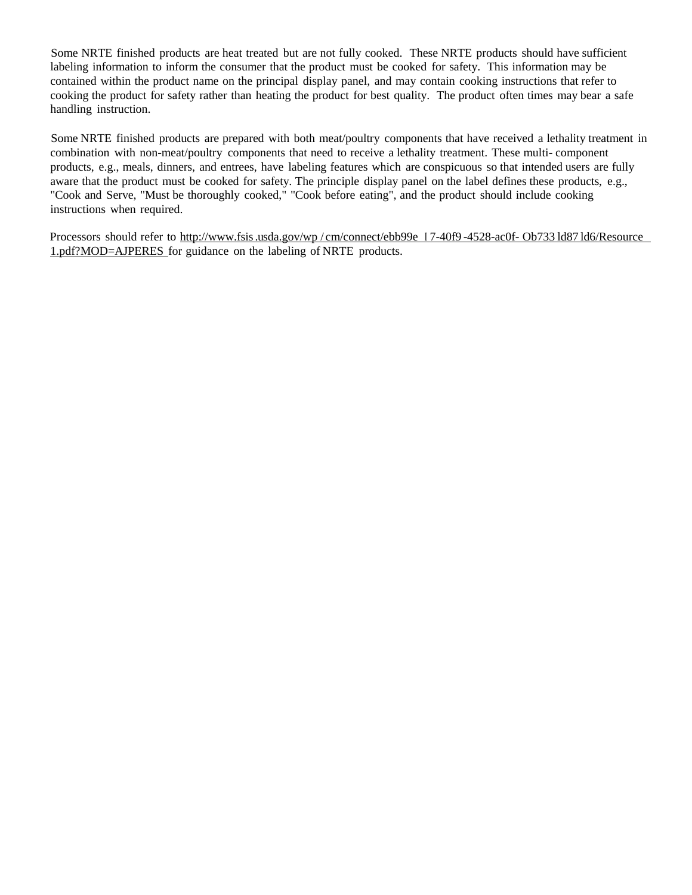Some NRTE finished products are heat treated but are not fully cooked. These NRTE products should have sufficient labeling information to inform the consumer that the product must be cooked for safety. This information may be contained within the product name on the principal display panel, and may contain cooking instructions that refer to cooking the product for safety rather than heating the product for best quality. The product often times may bear a safe handling instruction.

Some NRTE finished products are prepared with both meat/poultry components that have received a lethality treatment in combination with non-meat/poultry components that need to receive a lethality treatment. These multi- component products, e.g., meals, dinners, and entrees, have labeling features which are conspicuous so that intended users are fully aware that the product must be cooked for safety. The principle display panel on the label defines these products, e.g., "Cook and Serve, "Must be thoroughly cooked," "Cook before eating", and the product should include cooking instructions when required.

Processors should refer to <http://www.fsis>.usda.gov/wp/cm/connect/ebb99e I 7-40f9 -4528-ac0f- Ob733 ld87 ld6/Resource 1.pdf?MOD=AJPERES for guidance on the labeling of NRTE products.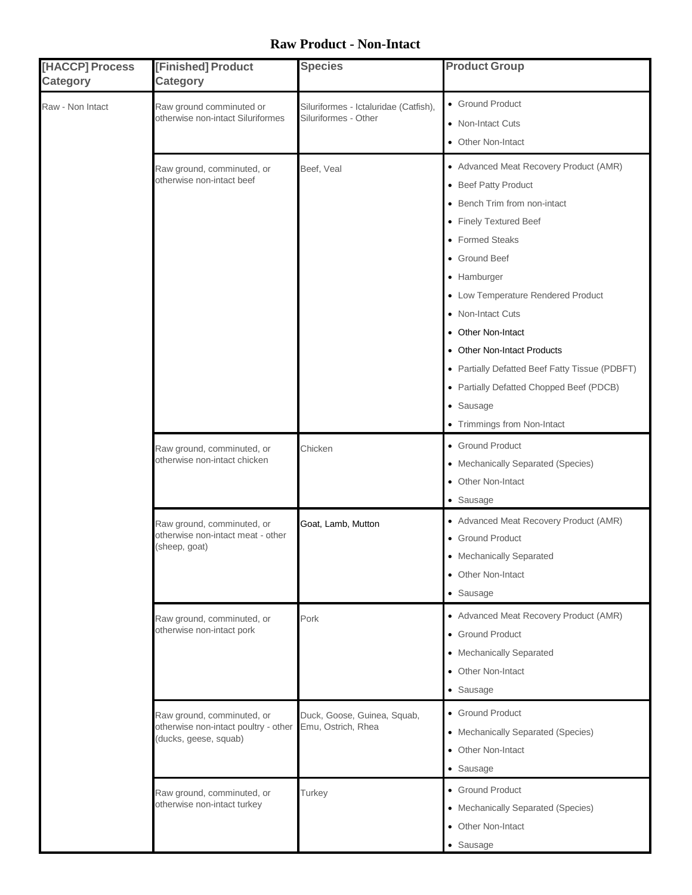#### **Raw Product - Non-Intact**

| [HACCP] Process<br><b>Category</b> | [Finished] Product<br>Category                                                              | <b>Species</b>                                                | <b>Product Group</b>                                                                                                                                                                                                                                                                                                                                                                                                                  |
|------------------------------------|---------------------------------------------------------------------------------------------|---------------------------------------------------------------|---------------------------------------------------------------------------------------------------------------------------------------------------------------------------------------------------------------------------------------------------------------------------------------------------------------------------------------------------------------------------------------------------------------------------------------|
| Raw - Non Intact                   | Raw ground comminuted or<br>otherwise non-intact Siluriformes                               | Siluriformes - Ictaluridae (Catfish),<br>Siluriformes - Other | • Ground Product<br>• Non-Intact Cuts<br>• Other Non-Intact                                                                                                                                                                                                                                                                                                                                                                           |
|                                    | Raw ground, comminuted, or<br>otherwise non-intact beef                                     | Beef, Veal                                                    | • Advanced Meat Recovery Product (AMR)<br>• Beef Patty Product<br>• Bench Trim from non-intact<br>• Finely Textured Beef<br>• Formed Steaks<br>• Ground Beef<br>• Hamburger<br>• Low Temperature Rendered Product<br>• Non-Intact Cuts<br>• Other Non-Intact<br>• Other Non-Intact Products<br>• Partially Defatted Beef Fatty Tissue (PDBFT)<br>• Partially Defatted Chopped Beef (PDCB)<br>• Sausage<br>• Trimmings from Non-Intact |
|                                    | Raw ground, comminuted, or<br>otherwise non-intact chicken                                  | Chicken                                                       | • Ground Product<br>• Mechanically Separated (Species)<br>• Other Non-Intact<br>• Sausage                                                                                                                                                                                                                                                                                                                                             |
|                                    | Raw ground, comminuted, or<br>otherwise non-intact meat - other<br>(sheep, goat)            | Goat, Lamb, Mutton                                            | • Advanced Meat Recovery Product (AMR)<br>• Ground Product<br>• Mechanically Separated<br>• Other Non-Intact<br>• Sausage                                                                                                                                                                                                                                                                                                             |
|                                    | Raw ground, comminuted, or<br>otherwise non-intact pork                                     | Pork                                                          | • Advanced Meat Recovery Product (AMR)<br>• Ground Product<br>• Mechanically Separated<br>• Other Non-Intact<br>• Sausage                                                                                                                                                                                                                                                                                                             |
|                                    | Raw ground, comminuted, or<br>otherwise non-intact poultry - other<br>(ducks, geese, squab) | Duck, Goose, Guinea, Squab,<br>Emu, Ostrich, Rhea             | • Ground Product<br>• Mechanically Separated (Species)<br>• Other Non-Intact<br>• Sausage                                                                                                                                                                                                                                                                                                                                             |
|                                    | Raw ground, comminuted, or<br>otherwise non-intact turkey                                   | Turkey                                                        | • Ground Product<br>• Mechanically Separated (Species)<br>• Other Non-Intact<br>• Sausage                                                                                                                                                                                                                                                                                                                                             |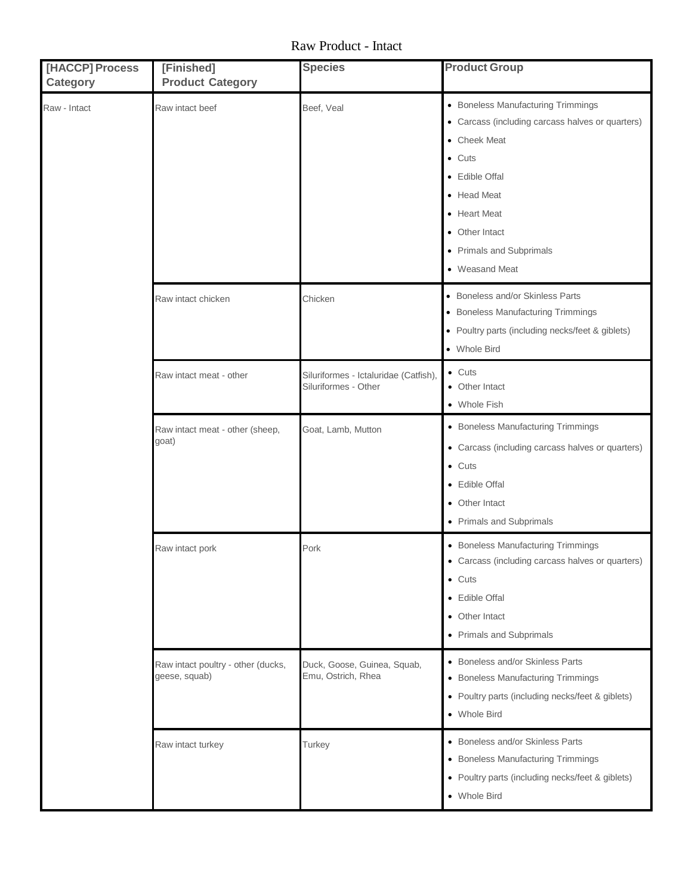Raw Product - Intact

| [HACCP] Process<br><b>Category</b> | [Finished]<br><b>Product Category</b>               | <b>Species</b>                                                | <b>Product Group</b>                                                                                                                                                                                                                      |
|------------------------------------|-----------------------------------------------------|---------------------------------------------------------------|-------------------------------------------------------------------------------------------------------------------------------------------------------------------------------------------------------------------------------------------|
| Raw - Intact                       | Raw intact beef                                     | Beef, Veal                                                    | • Boneless Manufacturing Trimmings<br>• Carcass (including carcass halves or quarters)<br>• Cheek Meat<br>$\bullet$ Cuts<br>• Edible Offal<br>• Head Meat<br>• Heart Meat<br>• Other Intact<br>• Primals and Subprimals<br>• Weasand Meat |
|                                    | Raw intact chicken                                  | Chicken                                                       | • Boneless and/or Skinless Parts<br>• Boneless Manufacturing Trimmings<br>• Poultry parts (including necks/feet & giblets)<br>• Whole Bird                                                                                                |
|                                    | Raw intact meat - other                             | Siluriformes - Ictaluridae (Catfish),<br>Siluriformes - Other | $\bullet$ Cuts<br>• Other Intact<br>• Whole Fish                                                                                                                                                                                          |
|                                    | Raw intact meat - other (sheep,<br>goat)            | Goat, Lamb, Mutton                                            | • Boneless Manufacturing Trimmings<br>• Carcass (including carcass halves or quarters)<br>$\bullet$ Cuts<br>• Edible Offal<br>• Other Intact<br>• Primals and Subprimals                                                                  |
|                                    | Raw intact pork                                     | Pork                                                          | • Boneless Manufacturing Trimmings<br>• Carcass (including carcass halves or quarters)<br>$\bullet$ Cuts<br>• Edible Offal<br>• Other Intact<br>• Primals and Subprimals                                                                  |
|                                    | Raw intact poultry - other (ducks,<br>geese, squab) | Duck, Goose, Guinea, Squab,<br>Emu, Ostrich, Rhea             | • Boneless and/or Skinless Parts<br>• Boneless Manufacturing Trimmings<br>• Poultry parts (including necks/feet & giblets)<br>• Whole Bird                                                                                                |
|                                    | Raw intact turkey                                   | Turkey                                                        | • Boneless and/or Skinless Parts<br>• Boneless Manufacturing Trimmings<br>• Poultry parts (including necks/feet & giblets)<br>• Whole Bird                                                                                                |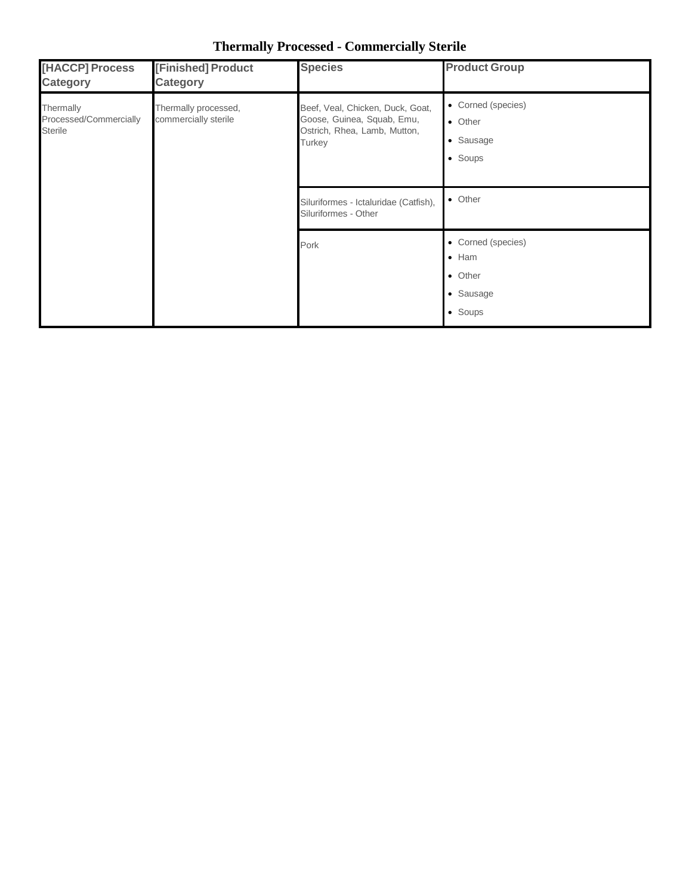| [HACCP] Process<br><b>Category</b>                    | [Finished] Product<br><b>Category</b>        | <b>Species</b>                                                                                           | <b>Product Group</b>                                                   |
|-------------------------------------------------------|----------------------------------------------|----------------------------------------------------------------------------------------------------------|------------------------------------------------------------------------|
| Thermally<br>Processed/Commercially<br><b>Sterile</b> | Thermally processed,<br>commercially sterile | Beef, Veal, Chicken, Duck, Goat,<br>Goose, Guinea, Squab, Emu,<br>Ostrich, Rhea, Lamb, Mutton,<br>Turkey | • Corned (species)<br>• Other<br>• Sausage<br>• Soups                  |
|                                                       |                                              | Siluriformes - Ictaluridae (Catfish),<br>Siluriformes - Other                                            | • Other                                                                |
|                                                       |                                              | Pork                                                                                                     | • Corned (species)<br>$\bullet$ Ham<br>• Other<br>• Sausage<br>• Soups |

**Thermally Processed - Commercially Sterile**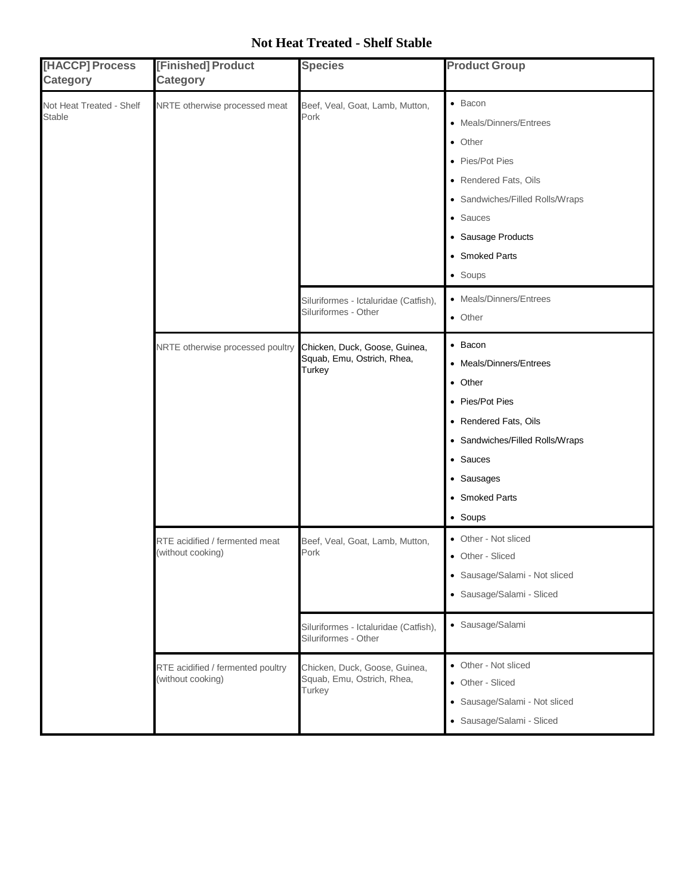### **Not Heat Treated - Shelf Stable**

| [HACCP] Process<br><b>Category</b>        | [Finished] Product<br>Category                         | <b>Species</b>                                                        | <b>Product Group</b>                                                                                                                                                                        |
|-------------------------------------------|--------------------------------------------------------|-----------------------------------------------------------------------|---------------------------------------------------------------------------------------------------------------------------------------------------------------------------------------------|
| Not Heat Treated - Shelf<br><b>Stable</b> | NRTE otherwise processed meat                          | Beef, Veal, Goat, Lamb, Mutton,<br>Pork                               | • Bacon<br>• Meals/Dinners/Entrees<br>• Other<br>• Pies/Pot Pies<br>• Rendered Fats, Oils<br>• Sandwiches/Filled Rolls/Wraps<br>• Sauces<br>• Sausage Products<br>• Smoked Parts<br>• Soups |
|                                           |                                                        | Siluriformes - Ictaluridae (Catfish),<br>Siluriformes - Other         | • Meals/Dinners/Entrees<br>• Other                                                                                                                                                          |
|                                           | NRTE otherwise processed poultry                       | Chicken, Duck, Goose, Guinea,<br>Squab, Emu, Ostrich, Rhea,<br>Turkey | • Bacon<br>• Meals/Dinners/Entrees<br>• Other<br>• Pies/Pot Pies<br>• Rendered Fats, Oils<br>• Sandwiches/Filled Rolls/Wraps<br>• Sauces<br>• Sausages<br>• Smoked Parts<br>• Soups         |
|                                           | RTE acidified / fermented meat<br>(without cooking)    | Beef, Veal, Goat, Lamb, Mutton,<br>Pork                               | • Other - Not sliced<br>• Other - Sliced<br>• Sausage/Salami - Not sliced<br>· Sausage/Salami - Sliced                                                                                      |
|                                           |                                                        | Siluriformes - Ictaluridae (Catfish),<br>Siluriformes - Other         | · Sausage/Salami                                                                                                                                                                            |
|                                           | RTE acidified / fermented poultry<br>(without cooking) | Chicken, Duck, Goose, Guinea,<br>Squab, Emu, Ostrich, Rhea,<br>Turkey | • Other - Not sliced<br>• Other - Sliced<br>• Sausage/Salami - Not sliced<br>· Sausage/Salami - Sliced                                                                                      |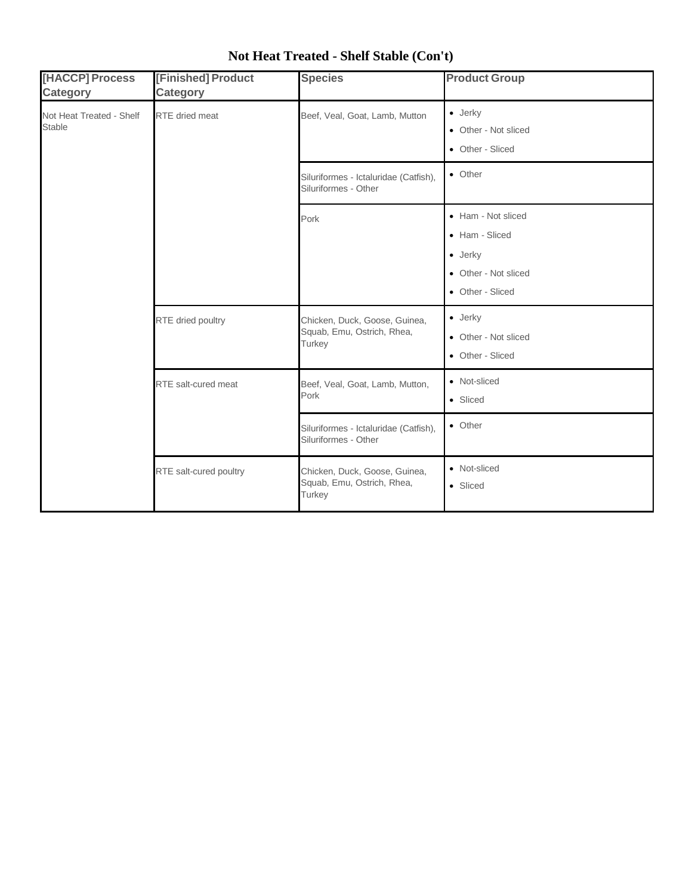| [HACCP] Process<br><b>Category</b>        | [Finished] Product<br><b>Category</b> | <b>Species</b>                                                        | <b>Product Group</b>                                                                                |
|-------------------------------------------|---------------------------------------|-----------------------------------------------------------------------|-----------------------------------------------------------------------------------------------------|
| Not Heat Treated - Shelf<br><b>Stable</b> | <b>RTE</b> dried meat                 | Beef, Veal, Goat, Lamb, Mutton                                        | $\bullet$ Jerky<br>• Other - Not sliced<br>• Other - Sliced                                         |
|                                           |                                       | Siluriformes - Ictaluridae (Catfish),<br>Siluriformes - Other         | • Other                                                                                             |
|                                           |                                       | Pork                                                                  | • Ham - Not sliced<br>• Ham - Sliced<br>$\bullet$ Jerky<br>• Other - Not sliced<br>• Other - Sliced |
|                                           | RTE dried poultry                     | Chicken, Duck, Goose, Guinea,<br>Squab, Emu, Ostrich, Rhea,<br>Turkey | $\bullet$ Jerky<br>• Other - Not sliced<br>• Other - Sliced                                         |
|                                           | RTE salt-cured meat                   | Beef, Veal, Goat, Lamb, Mutton,<br>Pork                               | • Not-sliced<br>• Sliced                                                                            |
|                                           |                                       | Siluriformes - Ictaluridae (Catfish),<br>Siluriformes - Other         | • Other                                                                                             |
|                                           | RTE salt-cured poultry                | Chicken, Duck, Goose, Guinea,<br>Squab, Emu, Ostrich, Rhea,<br>Turkey | • Not-sliced<br>• Sliced                                                                            |

## **Not Heat Treated - Shelf Stable (Con't)**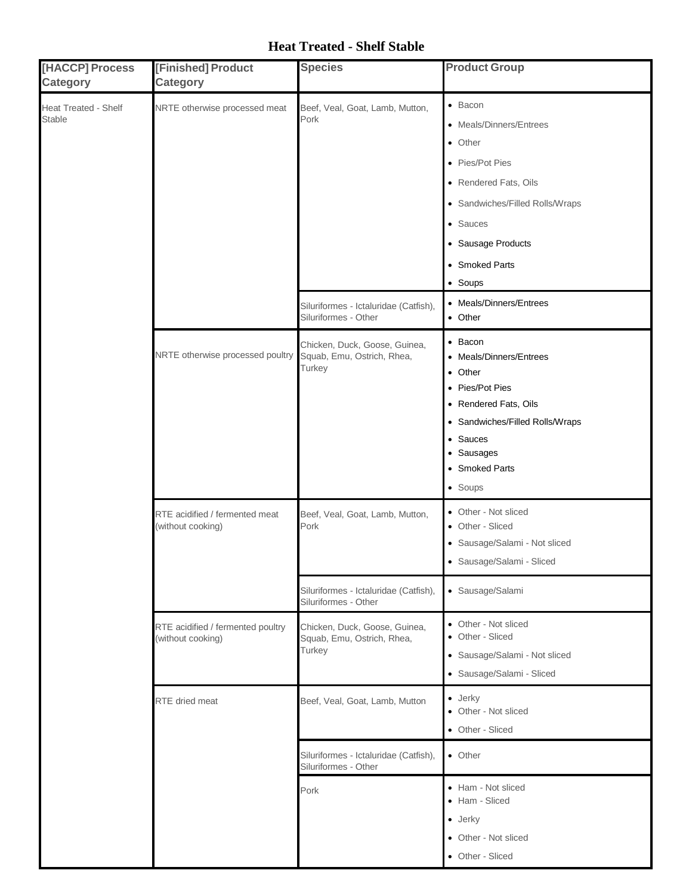### **Heat Treated - Shelf Stable**

| [HACCP] Process<br><b>Category</b>    | [Finished] Product<br><b>Category</b>                  | <b>Species</b>                                                        | <b>Product Group</b>                                                                                                                                                                                |
|---------------------------------------|--------------------------------------------------------|-----------------------------------------------------------------------|-----------------------------------------------------------------------------------------------------------------------------------------------------------------------------------------------------|
| Heat Treated - Shelf<br><b>Stable</b> | NRTE otherwise processed meat                          | Beef, Veal, Goat, Lamb, Mutton,<br>Pork                               | $\bullet$ Bacon<br>• Meals/Dinners/Entrees<br>• Other<br>• Pies/Pot Pies<br>• Rendered Fats, Oils<br>• Sandwiches/Filled Rolls/Wraps<br>• Sauces<br>• Sausage Products<br>• Smoked Parts<br>• Soups |
|                                       |                                                        | Siluriformes - Ictaluridae (Catfish),<br>Siluriformes - Other         | • Meals/Dinners/Entrees<br>• Other                                                                                                                                                                  |
|                                       | NRTE otherwise processed poultry                       | Chicken, Duck, Goose, Guinea,<br>Squab, Emu, Ostrich, Rhea,<br>Turkey | • Bacon<br>• Meals/Dinners/Entrees<br>• Other<br>• Pies/Pot Pies<br>• Rendered Fats, Oils<br>• Sandwiches/Filled Rolls/Wraps<br>• Sauces<br>• Sausages<br>• Smoked Parts<br>• Soups                 |
|                                       | RTE acidified / fermented meat<br>(without cooking)    | Beef, Veal, Goat, Lamb, Mutton,<br>Pork                               | • Other - Not sliced<br>• Other - Sliced<br>· Sausage/Salami - Not sliced<br>• Sausage/Salami - Sliced                                                                                              |
|                                       |                                                        | Siluriformes - Ictaluridae (Catfish),<br>Siluriformes - Other         | · Sausage/Salami                                                                                                                                                                                    |
|                                       | RTE acidified / fermented poultry<br>(without cooking) | Chicken, Duck, Goose, Guinea,<br>Squab, Emu, Ostrich, Rhea,<br>Turkey | • Other - Not sliced<br>• Other - Sliced<br>· Sausage/Salami - Not sliced<br>· Sausage/Salami - Sliced                                                                                              |
|                                       | RTE dried meat                                         | Beef, Veal, Goat, Lamb, Mutton                                        | $\bullet$ Jerky<br>• Other - Not sliced<br>• Other - Sliced                                                                                                                                         |
|                                       |                                                        | Siluriformes - Ictaluridae (Catfish),<br>Siluriformes - Other         | • Other                                                                                                                                                                                             |
|                                       |                                                        | Pork                                                                  | • Ham - Not sliced<br>• Ham - Sliced<br>$\bullet$ Jerky<br>• Other - Not sliced<br>• Other - Sliced                                                                                                 |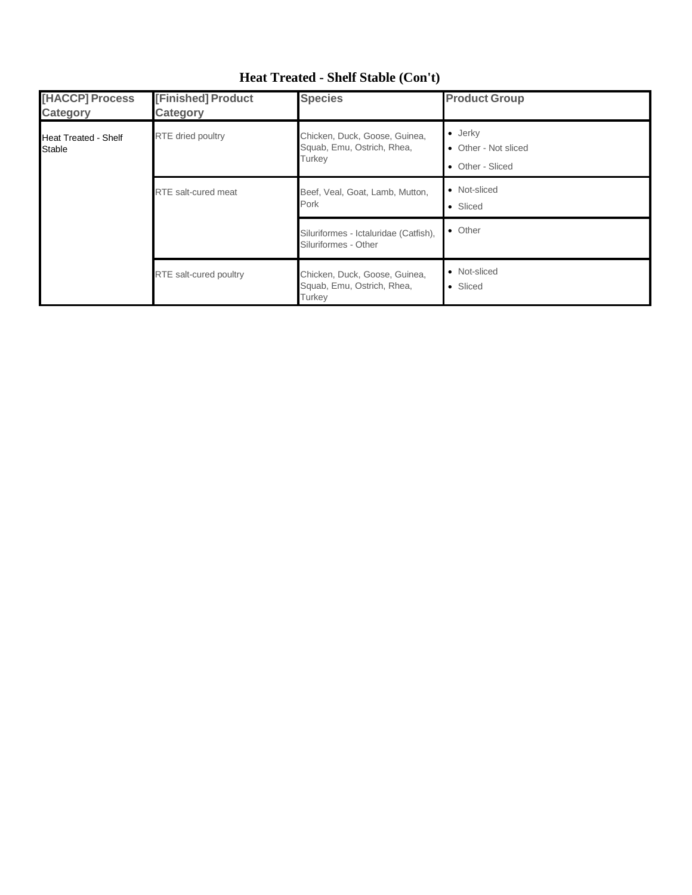| <b>THACCP] Process</b><br><b>Category</b>    | [Finished] Product<br>Category | <b>Species</b>                                                        | <b>Product Group</b>                                        |
|----------------------------------------------|--------------------------------|-----------------------------------------------------------------------|-------------------------------------------------------------|
| <b>Heat Treated - Shelf</b><br><b>Stable</b> | <b>RTE</b> dried poultry       | Chicken, Duck, Goose, Guinea,<br>Squab, Emu, Ostrich, Rhea,<br>Turkey | $\bullet$ Jerky<br>• Other - Not sliced<br>• Other - Sliced |
|                                              | <b>RTE</b> salt-cured meat     | Beef, Veal, Goat, Lamb, Mutton,<br>Pork                               | • Not-sliced<br>• Sliced                                    |
|                                              |                                | Siluriformes - Ictaluridae (Catfish),<br>Siluriformes - Other         | • Other                                                     |
|                                              | RTE salt-cured poultry         | Chicken, Duck, Goose, Guinea,<br>Squab, Emu, Ostrich, Rhea,<br>Turkey | • Not-sliced<br>• Sliced                                    |

## **Heat Treated - Shelf Stable (Con't)**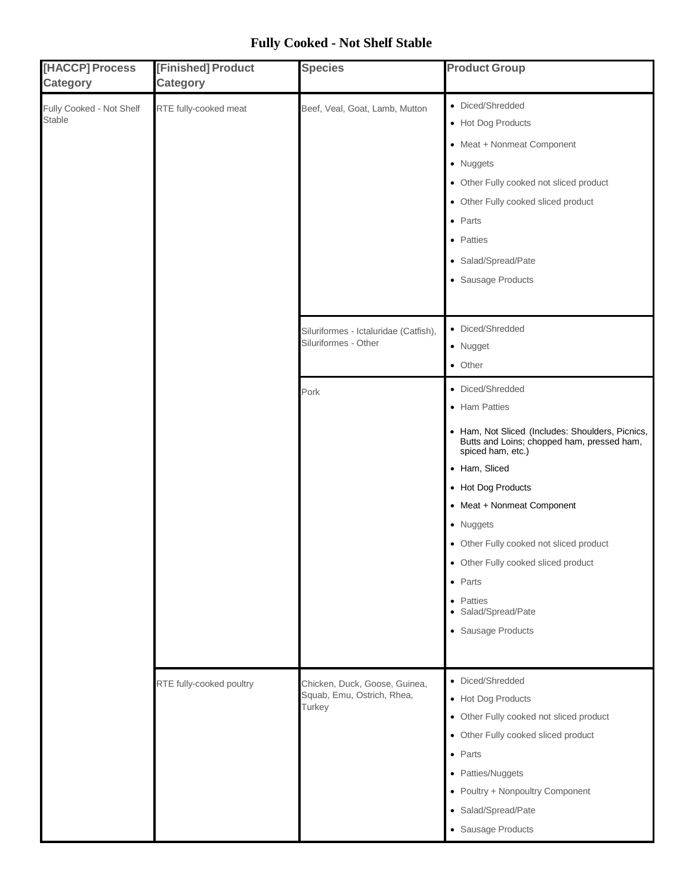### **Fully Cooked - Not Shelf Stable**

| [HACCP] Process<br><b>Category</b>        | [Finished] Product<br><b>Category</b> | <b>Species</b>                                                        | <b>Product Group</b>                                                                                                                                                                                                                                                                                                                                                                                      |
|-------------------------------------------|---------------------------------------|-----------------------------------------------------------------------|-----------------------------------------------------------------------------------------------------------------------------------------------------------------------------------------------------------------------------------------------------------------------------------------------------------------------------------------------------------------------------------------------------------|
| Fully Cooked - Not Shelf<br><b>Stable</b> | RTE fully-cooked meat                 | Beef, Veal, Goat, Lamb, Mutton                                        | • Diced/Shredded<br>• Hot Dog Products<br>• Meat + Nonmeat Component<br>• Nuggets<br>• Other Fully cooked not sliced product<br>• Other Fully cooked sliced product<br>$\bullet$ Parts<br>• Patties<br>• Salad/Spread/Pate<br>• Sausage Products                                                                                                                                                          |
|                                           |                                       | Siluriformes - Ictaluridae (Catfish),<br>Siluriformes - Other         | • Diced/Shredded<br>• Nugget<br>• Other                                                                                                                                                                                                                                                                                                                                                                   |
|                                           | RTE fully-cooked poultry              | Pork                                                                  | • Diced/Shredded<br>• Ham Patties<br>• Ham, Not Sliced (Includes: Shoulders, Picnics,<br>Butts and Loins; chopped ham, pressed ham,<br>spiced ham, etc.)<br>• Ham, Sliced<br>• Hot Dog Products<br>• Meat + Nonmeat Component<br>• Nuggets<br>• Other Fully cooked not sliced product<br>• Other Fully cooked sliced product<br>$\bullet$ Parts<br>• Patties<br>· Salad/Spread/Pate<br>• Sausage Products |
|                                           |                                       | Chicken, Duck, Goose, Guinea,<br>Squab, Emu, Ostrich, Rhea,<br>Turkey | • Diced/Shredded<br>• Hot Dog Products<br>• Other Fully cooked not sliced product<br>• Other Fully cooked sliced product<br>$\bullet$ Parts<br>• Patties/Nuggets<br>• Poultry + Nonpoultry Component<br>• Salad/Spread/Pate<br>• Sausage Products                                                                                                                                                         |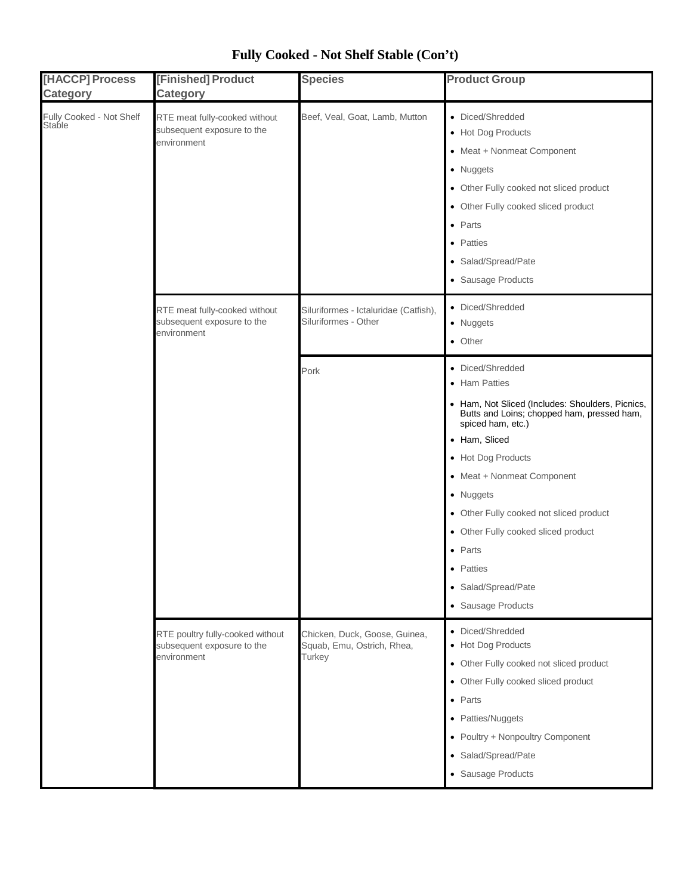| [HACCP] Process<br><b>Category</b> | [Finished] Product<br><b>Category</b>                                         | <b>Species</b>                                                        | <b>Product Group</b>                                                                                                                                                                                                                                                                                                                                                                                      |
|------------------------------------|-------------------------------------------------------------------------------|-----------------------------------------------------------------------|-----------------------------------------------------------------------------------------------------------------------------------------------------------------------------------------------------------------------------------------------------------------------------------------------------------------------------------------------------------------------------------------------------------|
| Fully Cooked - Not Shelf<br>Stable | RTE meat fully-cooked without<br>subsequent exposure to the<br>environment    | Beef, Veal, Goat, Lamb, Mutton                                        | • Diced/Shredded<br>• Hot Dog Products<br>• Meat + Nonmeat Component<br>• Nuggets<br>• Other Fully cooked not sliced product<br>• Other Fully cooked sliced product<br>$\bullet$ Parts<br>• Patties<br>• Salad/Spread/Pate<br>• Sausage Products                                                                                                                                                          |
|                                    | RTE meat fully-cooked without<br>subsequent exposure to the<br>environment    | Siluriformes - Ictaluridae (Catfish),<br>Siluriformes - Other         | • Diced/Shredded<br>• Nuggets<br>• Other                                                                                                                                                                                                                                                                                                                                                                  |
|                                    |                                                                               | Pork                                                                  | • Diced/Shredded<br>• Ham Patties<br>• Ham, Not Sliced (Includes: Shoulders, Picnics,<br>Butts and Loins; chopped ham, pressed ham,<br>spiced ham, etc.)<br>• Ham, Sliced<br>• Hot Dog Products<br>• Meat + Nonmeat Component<br>• Nuggets<br>• Other Fully cooked not sliced product<br>• Other Fully cooked sliced product<br>$\bullet$ Parts<br>• Patties<br>• Salad/Spread/Pate<br>• Sausage Products |
|                                    | RTE poultry fully-cooked without<br>subsequent exposure to the<br>environment | Chicken, Duck, Goose, Guinea,<br>Squab, Emu, Ostrich, Rhea,<br>Turkey | • Diced/Shredded<br>• Hot Dog Products<br>• Other Fully cooked not sliced product<br>• Other Fully cooked sliced product<br>$\bullet$ Parts<br>• Patties/Nuggets<br>• Poultry + Nonpoultry Component<br>• Salad/Spread/Pate<br>• Sausage Products                                                                                                                                                         |

## **Fully Cooked - Not Shelf Stable (Con't)**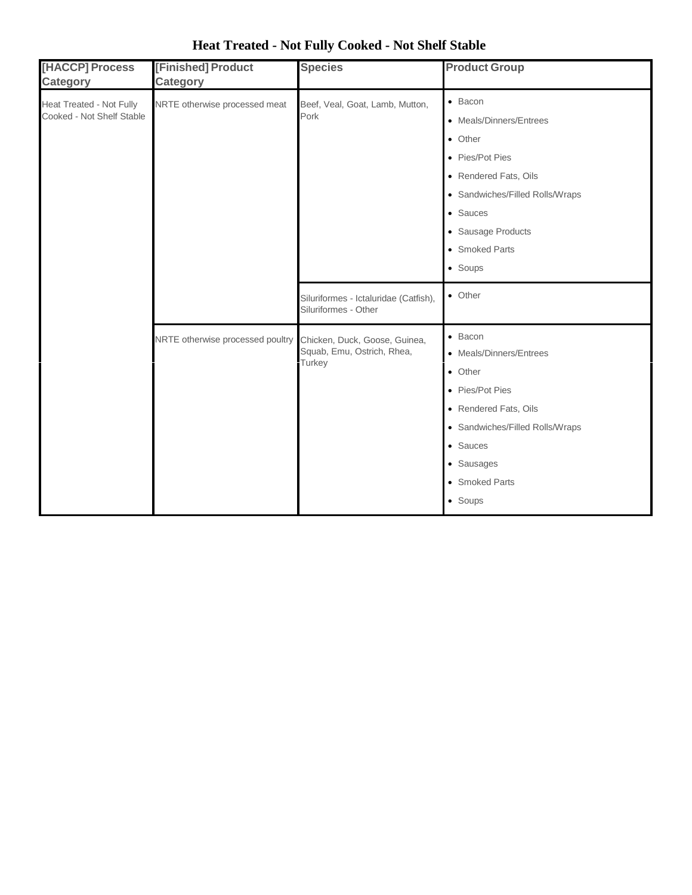| [HACCP] Process<br><b>Category</b>                           | [Finished] Product<br><b>Category</b> | <b>Species</b>                                                        | <b>Product Group</b>                                                                                                                                                                                |
|--------------------------------------------------------------|---------------------------------------|-----------------------------------------------------------------------|-----------------------------------------------------------------------------------------------------------------------------------------------------------------------------------------------------|
| <b>Heat Treated - Not Fully</b><br>Cooked - Not Shelf Stable | NRTE otherwise processed meat         | Beef, Veal, Goat, Lamb, Mutton,<br>Pork                               | $\bullet$ Bacon<br>• Meals/Dinners/Entrees<br>• Other<br>• Pies/Pot Pies<br>• Rendered Fats, Oils<br>• Sandwiches/Filled Rolls/Wraps<br>• Sauces<br>• Sausage Products<br>• Smoked Parts<br>• Soups |
|                                                              |                                       | Siluriformes - Ictaluridae (Catfish),<br>Siluriformes - Other         | $\bullet$ Other                                                                                                                                                                                     |
|                                                              | NRTE otherwise processed poultry      | Chicken, Duck, Goose, Guinea,<br>Squab, Emu, Ostrich, Rhea,<br>Turkey | $\bullet$ Bacon<br>• Meals/Dinners/Entrees<br>• Other<br>• Pies/Pot Pies<br>• Rendered Fats, Oils<br>• Sandwiches/Filled Rolls/Wraps<br>• Sauces<br>• Sausages<br>• Smoked Parts<br>• Soups         |

# **Heat Treated - Not Fully Cooked - Not Shelf Stable**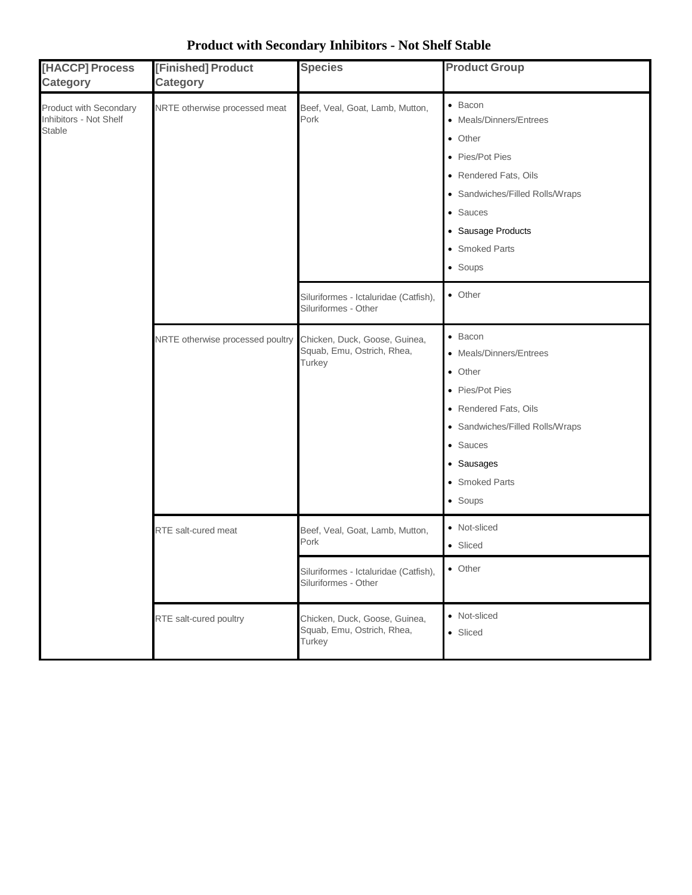| [HACCP] Process<br><b>Category</b>                         | [Finished] Product<br><b>Category</b> | <b>Species</b>                                                        | <b>Product Group</b>                                                                                                                                                                                |
|------------------------------------------------------------|---------------------------------------|-----------------------------------------------------------------------|-----------------------------------------------------------------------------------------------------------------------------------------------------------------------------------------------------|
| Product with Secondary<br>Inhibitors - Not Shelf<br>Stable | NRTE otherwise processed meat         | Beef, Veal, Goat, Lamb, Mutton,<br>Pork                               | $\bullet$ Bacon<br>• Meals/Dinners/Entrees<br>• Other<br>• Pies/Pot Pies<br>• Rendered Fats, Oils<br>• Sandwiches/Filled Rolls/Wraps<br>• Sauces<br>• Sausage Products<br>• Smoked Parts<br>• Soups |
|                                                            |                                       | Siluriformes - Ictaluridae (Catfish),<br>Siluriformes - Other         | • Other                                                                                                                                                                                             |
|                                                            | NRTE otherwise processed poultry      | Chicken, Duck, Goose, Guinea,<br>Squab, Emu, Ostrich, Rhea,<br>Turkey | $\bullet$ Bacon<br>• Meals/Dinners/Entrees<br>• Other<br>• Pies/Pot Pies<br>• Rendered Fats, Oils<br>• Sandwiches/Filled Rolls/Wraps<br>• Sauces<br>• Sausages<br>• Smoked Parts<br>• Soups         |
|                                                            | RTE salt-cured meat                   | Beef, Veal, Goat, Lamb, Mutton,<br>Pork                               | • Not-sliced<br>• Sliced                                                                                                                                                                            |
|                                                            |                                       | Siluriformes - Ictaluridae (Catfish),<br>Siluriformes - Other         | • Other                                                                                                                                                                                             |
|                                                            | RTE salt-cured poultry                | Chicken, Duck, Goose, Guinea,<br>Squab, Emu, Ostrich, Rhea,<br>Turkey | • Not-sliced<br>• Sliced                                                                                                                                                                            |

# **Product with Secondary Inhibitors - Not Shelf Stable**